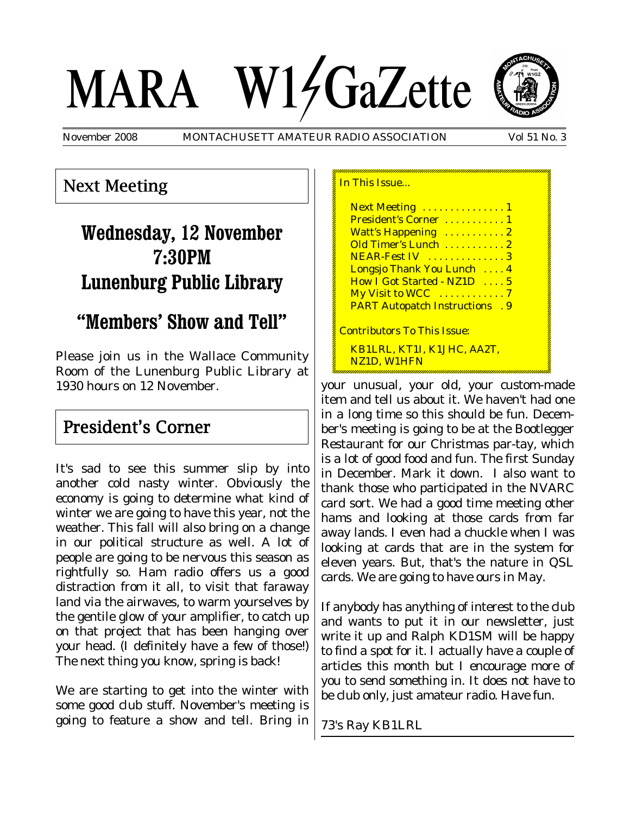# MARA W14GaZette



November 2008 MONTACHUSETT AMATEUR RADIO ASSOCIATION Vol 51 No. 3

## Next Meeting

# **Wednesday, 12 November 7:30PM Lunenburg Public Library**

## **"Members' Show and Tell"**

Please join us in the Wallace Community Room of the Lunenburg Public Library at 1930 hours on 12 November.

## President's Corner

It's sad to see this summer slip by into another cold nasty winter. Obviously the economy is going to determine what kind of winter we are going to have this year, not the weather. This fall will also bring on a change in our political structure as well. A lot of people are going to be nervous this season as rightfully so. Ham radio offers us a good distraction from it all, to visit that faraway land via the airwaves, to warm yourselves by the gentile glow of your amplifier, to catch up on that project that has been hanging over your head. (I definitely have a few of those!) The next thing you know, spring is back!

We are starting to get into the winter with some good club stuff. November's meeting is going to feature a show and tell. Bring in

| In This Issue                          |  |
|----------------------------------------|--|
| Next Meeting  1                        |  |
| President's Corner  1                  |  |
| Watt's Happening  2                    |  |
| Old Timer's Lunch  2                   |  |
| NEAR-Fest IV  3                        |  |
| Longsjo Thank You Lunch  4             |  |
| How I Got Started - NZ1D  5            |  |
|                                        |  |
| <b>PART Autopatch Instructions . 9</b> |  |
| <u> Contributors To This Issue:</u>    |  |
| KB1LRL, KT1I, K1JHC, AA2T,             |  |
| NZ1D. W1HFN                            |  |
|                                        |  |

your unusual, your old, your custom-made item and tell us about it. We haven't had one in a long time so this should be fun. December's meeting is going to be at the Bootlegger Restaurant for our Christmas par-tay, which is a lot of good food and fun. The first Sunday in December. Mark it down. I also want to thank those who participated in the NVARC card sort. We had a good time meeting other hams and looking at those cards from far away lands. I even had a chuckle when I was looking at cards that are in the system for eleven years. But, that's the nature in QSL cards. We are going to have ours in May.

If anybody has anything of interest to the club and wants to put it in our newsletter, just write it up and Ralph KD1SM will be happy to find a spot for it. I actually have a couple of articles this month but I encourage more of you to send something in. It does not have to be club only, just amateur radio. Have fun.

73's Ray KB1LRL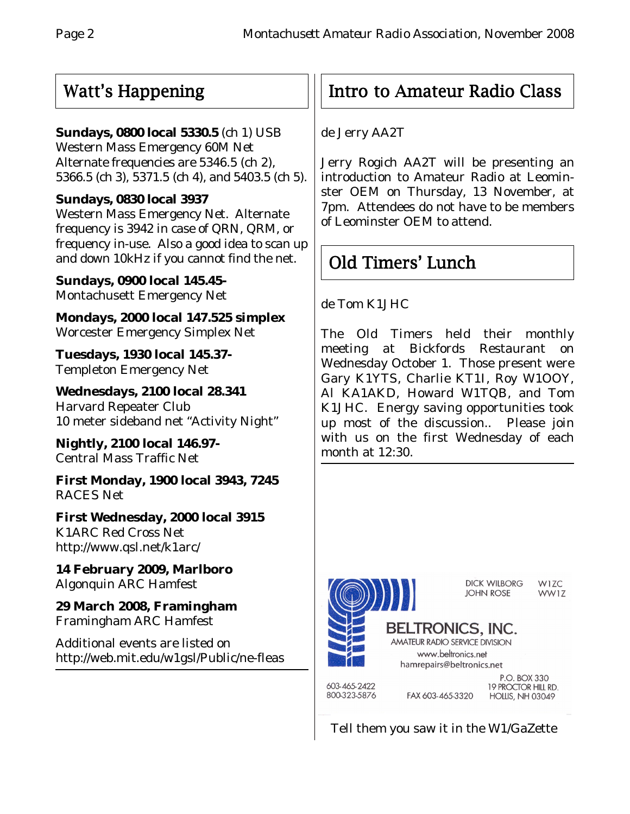# Watt's Happening

## **Sundays, 0800 local 5330.5** (ch 1) USB

Western Mass Emergency 60M Net Alternate frequencies are 5346.5 (ch 2), 5366.5 (ch 3), 5371.5 (ch 4), and 5403.5 (ch 5).

## **Sundays, 0830 local 3937**

Western Mass Emergency Net. Alternate frequency is 3942 in case of QRN, QRM, or frequency in-use. Also a good idea to scan up and down 10kHz if you cannot find the net.

**Sundays, 0900 local 145.45-** Montachusett Emergency Net

**Mondays, 2000 local 147.525 simplex** Worcester Emergency Simplex Net

**Tuesdays, 1930 local 145.37-** Templeton Emergency Net

**Wednesdays, 2100 local 28.341** Harvard Repeater Club 10 meter sideband net "Activity Night"

**Nightly, 2100 local 146.97-** Central Mass Traffic Net

**First Monday, 1900 local 3943, 7245** RACES Net

**First Wednesday, 2000 local 3915** K1ARC Red Cross Net http://www.qsl.net/k1arc/

**14 February 2009, Marlboro** Algonquin ARC Hamfest

**29 March 2008, Framingham** Framingham ARC Hamfest

Additional events are listed on http://web.mit.edu/w1gsl/Public/ne-fleas

# Intro to Amateur Radio Class

de Jerry AA2T

Jerry Rogich AA2T will be presenting an introduction to Amateur Radio at Leominster OEM on Thursday, 13 November, at 7pm. Attendees do not have to be members of Leominster OEM to attend.

# Old Timers' Lunch

de Tom K1JHC

The Old Timers held their monthly meeting at Bickfords Restaurant on Wednesday October 1. Those present were Gary K1YTS, Charlie KT1I, Roy W1OOY, Al KA1AKD, Howard W1TQB, and Tom K1JHC. Energy saving opportunities took up most of the discussion.. Please join with us on the first Wednesday of each month at 12:30.



Tell them you saw it in the W1/GaZette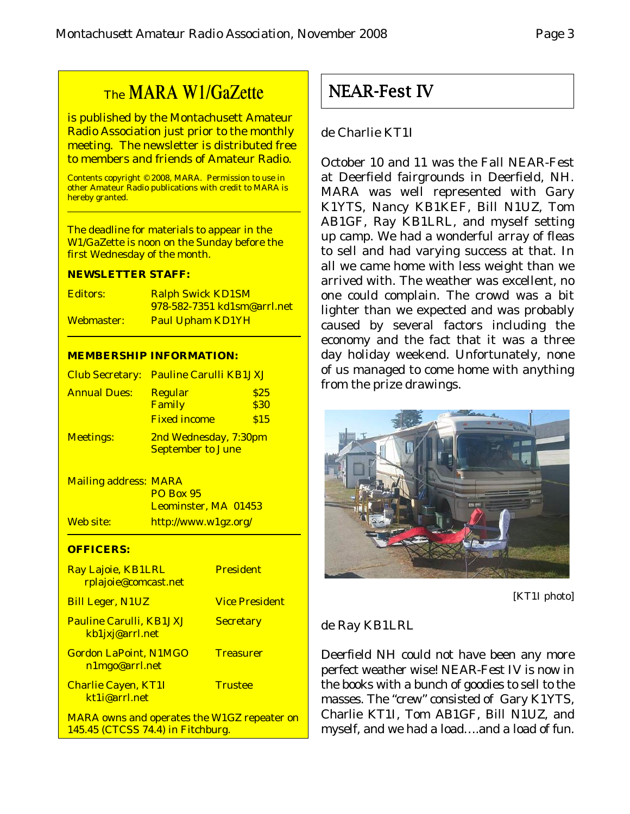## The MARA W1/GaZette

is published by the Montachusett Amateur Radio Association just prior to the monthly meeting. The newsletter is distributed free to members and friends of Amateur Radio.

Contents copyright © 2008, MARA. Permission to use in other Amateur Radio publications with credit to MARA is hereby granted.

The deadline for materials to appear in the W1/GaZette is noon on the Sunday before the first Wednesday of the month.

#### **NEWSLETTER STAFF:**

| <b>Editors:</b> | <b>Ralph Swick KD1SM</b>           |
|-----------------|------------------------------------|
|                 | <u>978-582-7351 kd1sm@arrl.net</u> |
| Webmaster:      | <b>Paul Upham KD1YH</b>            |

#### **MEMBERSHIP INFORMATION:**

|                     | Club Secretary: Pauline Carulli KB1JXJ            |                             |
|---------------------|---------------------------------------------------|-----------------------------|
| <b>Annual Dues:</b> | <b>Regular</b><br>Family<br><b>Fixed income</b>   | \$25<br><b>\$30</b><br>\$15 |
| <b>Meetings:</b>    | 2nd Wednesday, 7:30pm<br><b>September to June</b> |                             |

Mailing address: MARA PO Box 95 Leominster, MA 01453 Web site: http://www.w1gz.org/

#### **OFFICERS:**

| Ray Lajoie, KB1LRL<br>rplajoie@comcast.net                                              | <b>President</b>      |
|-----------------------------------------------------------------------------------------|-----------------------|
| <b>Bill Leger, N1UZ</b>                                                                 | <b>Vice President</b> |
| <b>Pauline Carulli, KB1JXJ</b><br>kb1jxj@arrl.net                                       | <b>Secretary</b>      |
| <b>Gordon LaPoint, N1MGO</b><br>n1mgo@arrl.net                                          | <b>Treasurer</b>      |
| <b>Charlie Cayen, KT1I</b><br>kt1i@arrl.net                                             | <b>Trustee</b>        |
| <b>MARA owns and operates the W1GZ repeater on</b><br>145.45 (CTCSS 74.4) in Fitchburg. |                       |

NEAR-Fest IV

### de Charlie KT1I

October 10 and 11 was the Fall NEAR-Fest at Deerfield fairgrounds in Deerfield, NH. MARA was well represented with Gary K1YTS, Nancy KB1KEF, Bill N1UZ, Tom AB1GF, Ray KB1LRL, and myself setting up camp. We had a wonderful array of fleas to sell and had varying success at that. In all we came home with less weight than we arrived with. The weather was excellent, no one could complain. The crowd was a bit lighter than we expected and was probably caused by several factors including the economy and the fact that it was a three day holiday weekend. Unfortunately, none of us managed to come home with anything from the prize drawings.



[KT1I photo]

#### de Ray KB1LRL

Deerfield NH could not have been any more perfect weather wise! NEAR-Fest IV is now in the books with a bunch of goodies to sell to the masses. The "crew" consisted of Gary K1YTS, Charlie KT1I, Tom AB1GF, Bill N1UZ, and myself, and we had a load….and a load of fun.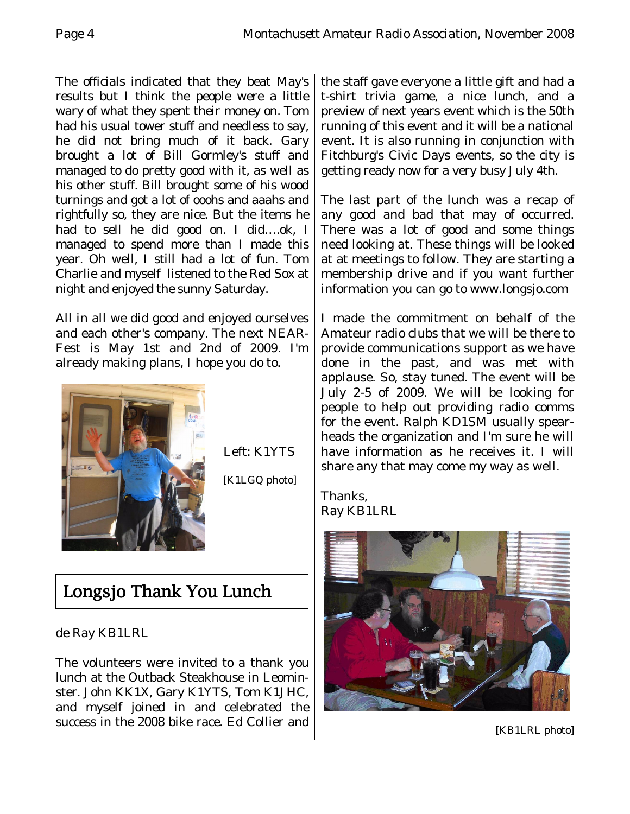The officials indicated that they beat May's results but I think the people were a little wary of what they spent their money on. Tom had his usual tower stuff and needless to say, he did not bring much of it back. Gary brought a lot of Bill Gormley's stuff and managed to do pretty good with it, as well as his other stuff. Bill brought some of his wood turnings and got a lot of ooohs and aaahs and rightfully so, they are nice. But the items he had to sell he did good on. I did….ok, I managed to spend more than I made this year. Oh well, I still had a lot of fun. Tom Charlie and myself listened to the Red Sox at night and enjoyed the sunny Saturday.

All in all we did good and enjoyed ourselves and each other's company. The next NEAR-Fest is May 1st and 2nd of 2009. I'm already making plans, I hope you do to.



Left: K1YTS

[K1LGQ photo]

# Longsjo Thank You Lunch

de Ray KB1LRL

The volunteers were invited to a thank you lunch at the Outback Steakhouse in Leominster. John KK1X, Gary K1YTS, Tom K1JHC, and myself joined in and celebrated the success in the 2008 bike race. Ed Collier and the staff gave everyone a little gift and had a t-shirt trivia game, a nice lunch, and a preview of next years event which is the 50th running of this event and it will be a national event. It is also running in conjunction with Fitchburg's Civic Days events, so the city is getting ready now for a very busy July 4th.

The last part of the lunch was a recap of any good and bad that may of occurred. There was a lot of good and some things need looking at. These things will be looked at at meetings to follow. They are starting a membership drive and if you want further information you can go to www.longsjo.com

I made the commitment on behalf of the Amateur radio clubs that we will be there to provide communications support as we have done in the past, and was met with applause. So, stay tuned. The event will be July 2-5 of 2009. We will be looking for people to help out providing radio comms for the event. Ralph KD1SM usually spearheads the organization and I'm sure he will have information as he receives it. I will share any that may come my way as well.

Thanks, Ray KB1LRL



**[**KB1LRL photo]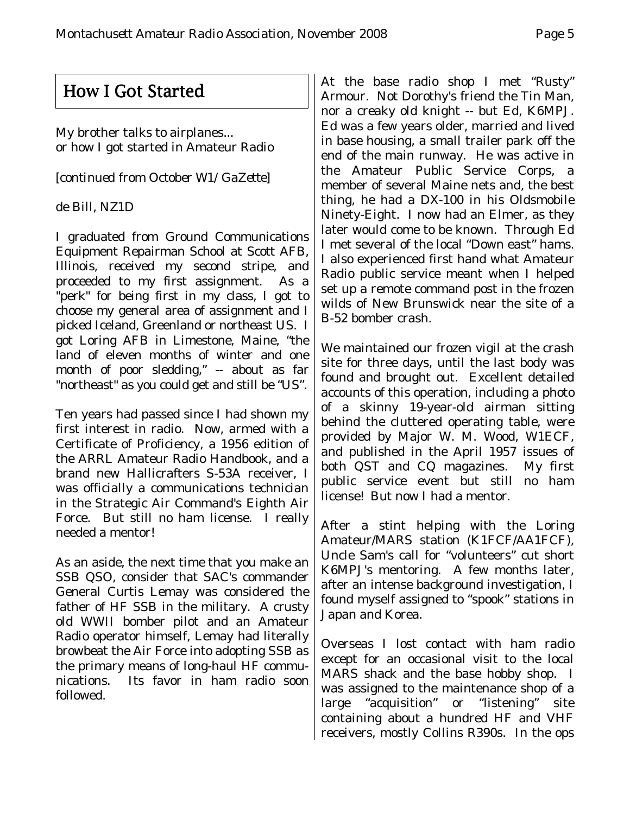## How I Got Started

My brother talks to airplanes... or how I got started in Amateur Radio

*[continued from October W1/GaZette]*

## de Bill, NZ1D

I graduated from Ground Communications Equipment Repairman School at Scott AFB, Illinois, received my second stripe, and proceeded to my first assignment. As a "perk" for being first in my class, I got to choose my general area of assignment and I picked Iceland, Greenland or northeast US. I got Loring AFB in Limestone, Maine, "the land of eleven months of winter and one month of poor sledding," -- about as far "northeast" as you could get and still be "US".

Ten years had passed since I had shown my first interest in radio. Now, armed with a Certificate of Proficiency, a 1956 edition of the ARRL Amateur Radio Handbook, and a brand new Hallicrafters S-53A receiver, I was officially a communications technician in the Strategic Air Command's Eighth Air Force. But still no ham license. I really needed a mentor!

As an aside, the next time that you make an SSB QSO, consider that SAC's commander General Curtis Lemay was considered the father of HF SSB in the military. A crusty old WWII bomber pilot and an Amateur Radio operator himself, Lemay had literally browbeat the Air Force into adopting SSB as the primary means of long-haul HF communications. Its favor in ham radio soon followed.

At the base radio shop I met "Rusty" Armour. Not Dorothy's friend the Tin Man, nor a creaky old knight -- but Ed, K6MPJ. Ed was a few years older, married and lived in base housing, a small trailer park off the end of the main runway. He was active in the Amateur Public Service Corps, a member of several Maine nets and, the best thing, he had a DX-100 in his Oldsmobile Ninety-Eight. I now had an Elmer, as they later would come to be known. Through Ed I met several of the local "Down east" hams. I also experienced first hand what Amateur Radio public service meant when I helped set up a remote command post in the frozen wilds of New Brunswick near the site of a B-52 bomber crash.

We maintained our frozen vigil at the crash site for three days, until the last body was found and brought out. Excellent detailed accounts of this operation, including a photo of a skinny 19-year-old airman sitting behind the cluttered operating table, were provided by Major W. M. Wood, W1ECF, and published in the April 1957 issues of both QST and CQ magazines. My first public service event but still no ham license! But now I had a mentor.

After a stint helping with the Loring Amateur/MARS station (K1FCF/AA1FCF), Uncle Sam's call for "volunteers" cut short K6MPJ's mentoring. A few months later, after an intense background investigation, I found myself assigned to "spook" stations in Japan and Korea.

Overseas I lost contact with ham radio except for an occasional visit to the local MARS shack and the base hobby shop. I was assigned to the maintenance shop of a large "acquisition" or "listening" site containing about a hundred HF and VHF receivers, mostly Collins R390s. In the ops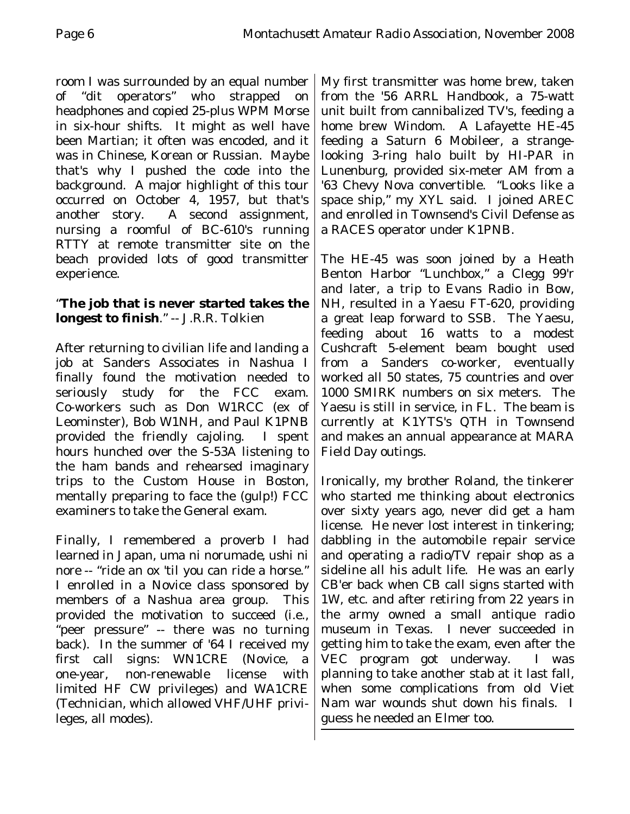room I was surrounded by an equal number of "dit operators" who strapped on headphones and copied 25-plus WPM Morse in six-hour shifts. It might as well have been Martian; it often was encoded, and it was in Chinese, Korean or Russian. Maybe that's why I pushed the code into the background. A major highlight of this tour occurred on October 4, 1957, but that's another story. A second assignment, nursing a roomful of BC-610's running RTTY at remote transmitter site on the beach provided lots of good transmitter experience.

## "**The job that is never started takes the longest to finish**." -- J.R.R. Tolkien

After returning to civilian life and landing a job at Sanders Associates in Nashua I finally found the motivation needed to seriously study for the FCC exam. Co-workers such as Don W1RCC (ex of Leominster), Bob W1NH, and Paul K1PNB provided the friendly cajoling. I spent hours hunched over the S-53A listening to the ham bands and rehearsed imaginary trips to the Custom House in Boston, mentally preparing to face the (gulp!) FCC examiners to take the General exam.

Finally, I remembered a proverb I had learned in Japan, *uma ni norumade, ushi ni nore* -- "ride an ox 'til you can ride a horse." I enrolled in a Novice class sponsored by members of a Nashua area group. This provided the motivation to succeed (i.e., "peer pressure" -- there was no turning back). In the summer of '64 I received my first call signs: WN1CRE (Novice, a one-year, non-renewable license with limited HF CW privileges) and WA1CRE (Technician, which allowed VHF/UHF privileges, all modes).

My first transmitter was home brew, taken from the '56 ARRL Handbook, a 75-watt unit built from cannibalized TV's, feeding a home brew Windom. A Lafayette HE-45 feeding a Saturn 6 Mobileer, a strangelooking 3-ring halo built by HI-PAR in Lunenburg, provided six-meter AM from a '63 Chevy Nova convertible. "Looks like a space ship," my XYL said. I joined AREC and enrolled in Townsend's Civil Defense as a RACES operator under K1PNB.

The HE-45 was soon joined by a Heath Benton Harbor "Lunchbox," a Clegg 99'r and later, a trip to Evans Radio in Bow, NH, resulted in a Yaesu FT-620, providing a great leap forward to SSB. The Yaesu, feeding about 16 watts to a modest Cushcraft 5-element beam bought used from a Sanders co-worker, eventually worked all 50 states, 75 countries and over 1000 SMIRK numbers on six meters. The Yaesu is still in service, in FL. The beam is currently at K1YTS's QTH in Townsend and makes an annual appearance at MARA Field Day outings.

Ironically, my brother Roland, the tinkerer who started me thinking about electronics over sixty years ago, never did get a ham license. He never lost interest in tinkering; dabbling in the automobile repair service and operating a radio/TV repair shop as a sideline all his adult life. He was an early CB'er back when CB call signs started with 1W, etc. and after retiring from 22 years in the army owned a small antique radio museum in Texas. I never succeeded in getting him to take the exam, even after the VEC program got underway. I was planning to take another stab at it last fall, when some complications from old Viet Nam war wounds shut down his finals. I guess he needed an Elmer too.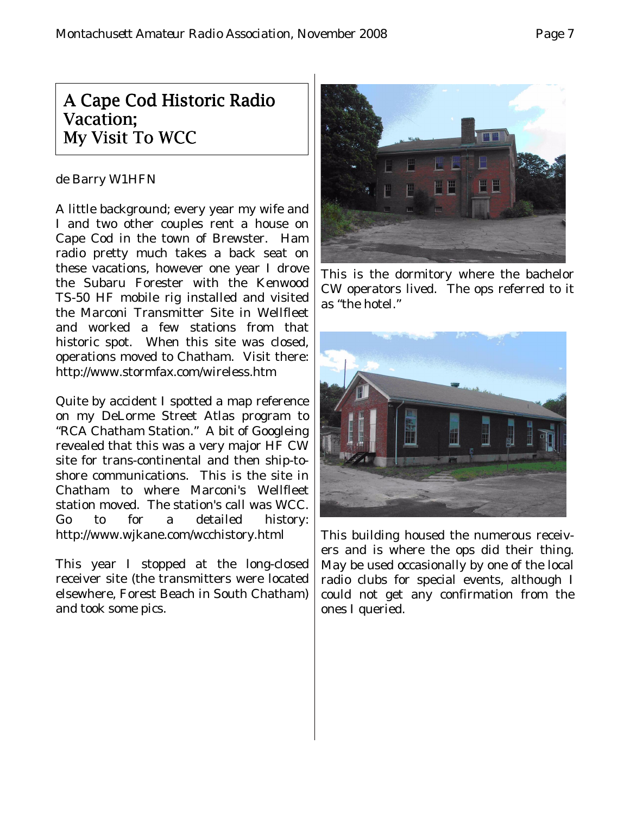## A Cape Cod Historic Radio Vacation; My Visit To WCC

#### de Barry W1HFN

A little background; every year my wife and I and two other couples rent a house on Cape Cod in the town of Brewster. Ham radio pretty much takes a back seat on these vacations, however one year I drove the Subaru Forester with the Kenwood TS-50 HF mobile rig installed and visited the Marconi Transmitter Site in Wellfleet and worked a few stations from that historic spot. When this site was closed, operations moved to Chatham. Visit there: http://www.stormfax.com/wireless.htm

Quite by accident I spotted a map reference on my DeLorme Street Atlas program to "RCA Chatham Station." A bit of Googleing revealed that this was a very major HF CW site for trans-continental and then ship-toshore communications. This is the site in Chatham to where Marconi's Wellfleet station moved. The station's call was WCC. Go to for a detailed history: http://www.wjkane.com/wcchistory.html

This year I stopped at the long-closed receiver site (the transmitters were located elsewhere, Forest Beach in South Chatham) and took some pics.



This is the dormitory where the bachelor CW operators lived. The ops referred to it as "the hotel."



This building housed the numerous receivers and is where the ops did their thing. May be used occasionally by one of the local radio clubs for special events, although I could not get any confirmation from the ones I queried.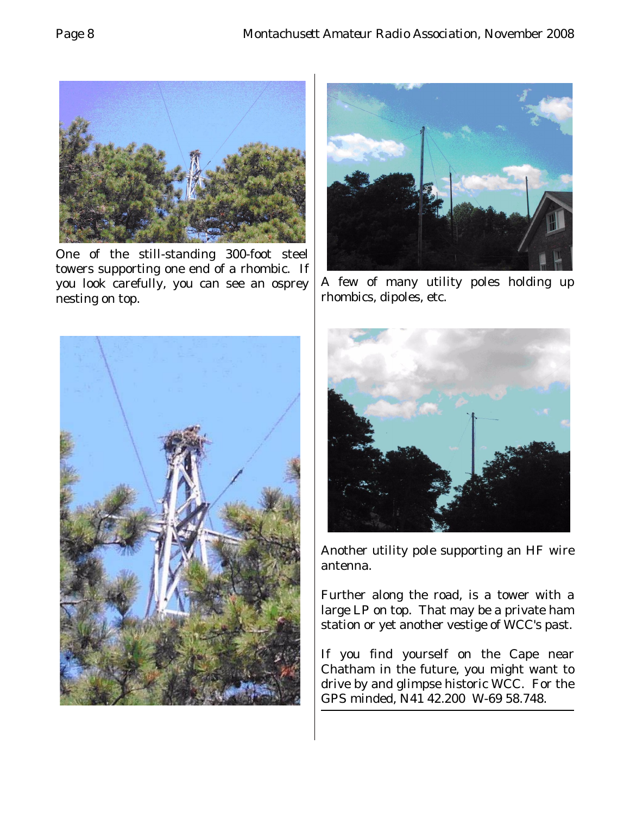

One of the still-standing 300-foot steel towers supporting one end of a rhombic. If you look carefully, you can see an osprey nesting on top.





A few of many utility poles holding up rhombics, dipoles, etc.



Another utility pole supporting an HF wire antenna.

Further along the road, is a tower with a large LP on top. That may be a private ham station or yet another vestige of WCC's past.

If you find yourself on the Cape near Chatham in the future, you might want to drive by and glimpse historic WCC. For the GPS minded, N41 42.200 W-69 58.748.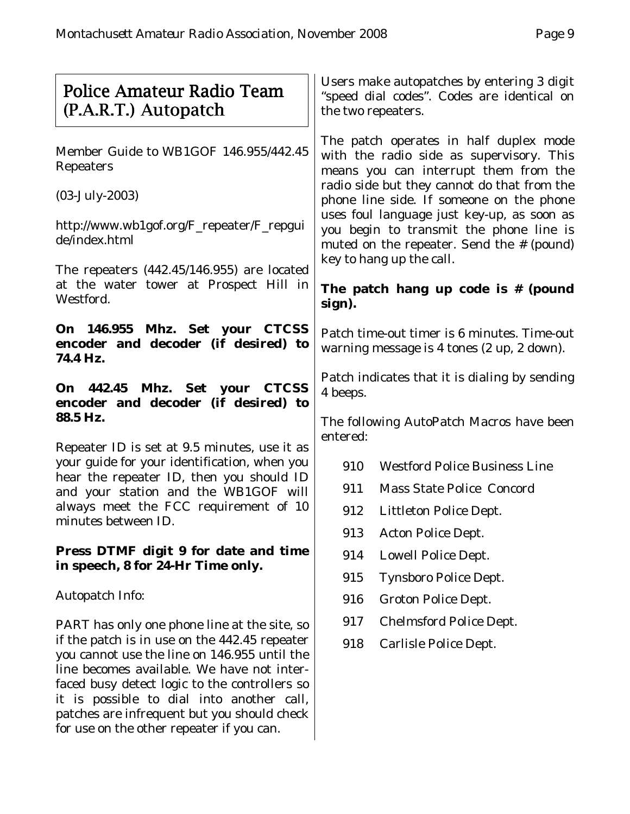| Police Amateur Radio Team<br>(P.A.R.T.) Autopatch                                                                                                                                            | Users make autopatches by entering 3 digit<br>"speed dial codes". Codes are identical on<br>the two repeaters.                                                                                                                                                                                                                                               |  |  |
|----------------------------------------------------------------------------------------------------------------------------------------------------------------------------------------------|--------------------------------------------------------------------------------------------------------------------------------------------------------------------------------------------------------------------------------------------------------------------------------------------------------------------------------------------------------------|--|--|
| Member Guide to WB1GOF 146.955/442.45<br>Repeaters                                                                                                                                           | The patch operates in half duplex mode<br>with the radio side as supervisory. This<br>means you can interrupt them from the<br>radio side but they cannot do that from the<br>phone line side. If someone on the phone<br>uses foul language just key-up, as soon as<br>you begin to transmit the phone line is<br>muted on the repeater. Send the # (pound) |  |  |
| $(03-July-2003)$                                                                                                                                                                             |                                                                                                                                                                                                                                                                                                                                                              |  |  |
| http://www.wb1gof.org/F_repeater/F_repgui<br>de/index.html                                                                                                                                   |                                                                                                                                                                                                                                                                                                                                                              |  |  |
| The repeaters $(442.45/146.955)$ are located                                                                                                                                                 | key to hang up the call.                                                                                                                                                                                                                                                                                                                                     |  |  |
| at the water tower at Prospect Hill in<br>Westford.                                                                                                                                          | The patch hang up code is $#$ (pound<br>sign).                                                                                                                                                                                                                                                                                                               |  |  |
| On 146.955 Mhz. Set your CTCSS<br>encoder and decoder (if desired) to<br>74.4 Hz.                                                                                                            | Patch time-out timer is 6 minutes. Time-out<br>warning message is 4 tones (2 up, 2 down).                                                                                                                                                                                                                                                                    |  |  |
| On 442.45 Mhz. Set your CTCSS<br>encoder and decoder (if desired) to<br>88.5 Hz.                                                                                                             | Patch indicates that it is dialing by sending<br>4 beeps.                                                                                                                                                                                                                                                                                                    |  |  |
|                                                                                                                                                                                              | The following AutoPatch Macros have been<br>entered:                                                                                                                                                                                                                                                                                                         |  |  |
| Repeater ID is set at 9.5 minutes, use it as<br>your guide for your identification, when you                                                                                                 | <b>Westford Police Business Line</b><br>910                                                                                                                                                                                                                                                                                                                  |  |  |
| hear the repeater ID, then you should ID<br>and your station and the WB1GOF will                                                                                                             | 911<br><b>Mass State Police Concord</b>                                                                                                                                                                                                                                                                                                                      |  |  |
| always meet the FCC requirement of 10                                                                                                                                                        | 912<br><b>Littleton Police Dept.</b>                                                                                                                                                                                                                                                                                                                         |  |  |
| minutes between ID.                                                                                                                                                                          | 913<br><b>Acton Police Dept.</b>                                                                                                                                                                                                                                                                                                                             |  |  |
| Press DTMF digit 9 for date and time<br>in speech, 8 for 24-Hr Time only.                                                                                                                    | 914<br><b>Lowell Police Dept.</b>                                                                                                                                                                                                                                                                                                                            |  |  |
|                                                                                                                                                                                              | 915<br><b>Tynsboro Police Dept.</b>                                                                                                                                                                                                                                                                                                                          |  |  |
| <b>Autopatch Info:</b>                                                                                                                                                                       | 916<br><b>Groton Police Dept.</b>                                                                                                                                                                                                                                                                                                                            |  |  |
| PART has only one phone line at the site, so                                                                                                                                                 | 917<br><b>Chelmsford Police Dept.</b>                                                                                                                                                                                                                                                                                                                        |  |  |
| if the patch is in use on the 442.45 repeater<br>you cannot use the line on 146.955 until the<br>line becomes available. We have not inter-<br>faced busy detect logic to the controllers so | 918<br>Carlisle Police Dept.                                                                                                                                                                                                                                                                                                                                 |  |  |
| it is possible to dial into another call,<br>patches are infrequent but you should check<br>for use on the other repeater if you can.                                                        |                                                                                                                                                                                                                                                                                                                                                              |  |  |